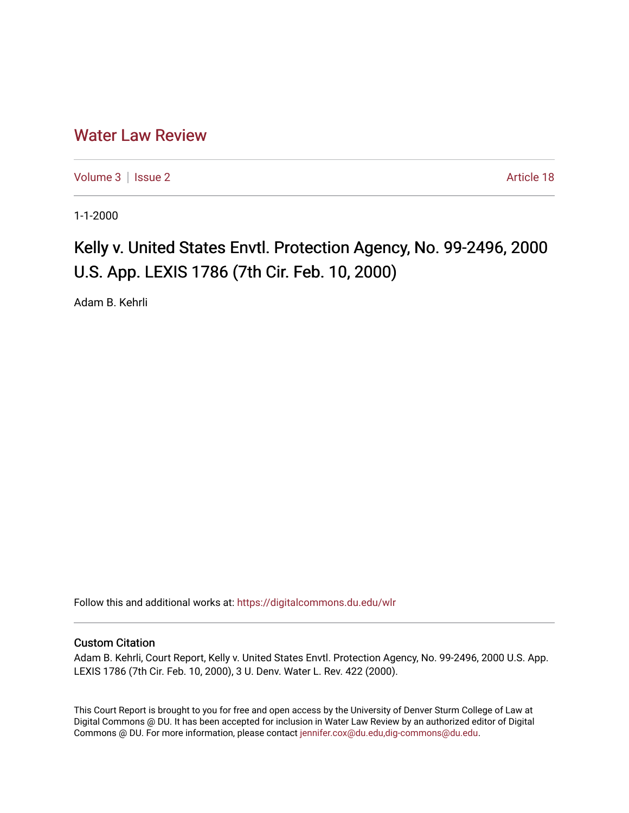## [Water Law Review](https://digitalcommons.du.edu/wlr)

[Volume 3](https://digitalcommons.du.edu/wlr/vol3) | [Issue 2](https://digitalcommons.du.edu/wlr/vol3/iss2) Article 18

1-1-2000

## Kelly v. United States Envtl. Protection Agency, No. 99-2496, 2000 U.S. App. LEXIS 1786 (7th Cir. Feb. 10, 2000)

Adam B. Kehrli

Follow this and additional works at: [https://digitalcommons.du.edu/wlr](https://digitalcommons.du.edu/wlr?utm_source=digitalcommons.du.edu%2Fwlr%2Fvol3%2Fiss2%2F18&utm_medium=PDF&utm_campaign=PDFCoverPages) 

## Custom Citation

Adam B. Kehrli, Court Report, Kelly v. United States Envtl. Protection Agency, No. 99-2496, 2000 U.S. App. LEXIS 1786 (7th Cir. Feb. 10, 2000), 3 U. Denv. Water L. Rev. 422 (2000).

This Court Report is brought to you for free and open access by the University of Denver Sturm College of Law at Digital Commons @ DU. It has been accepted for inclusion in Water Law Review by an authorized editor of Digital Commons @ DU. For more information, please contact [jennifer.cox@du.edu,dig-commons@du.edu.](mailto:jennifer.cox@du.edu,dig-commons@du.edu)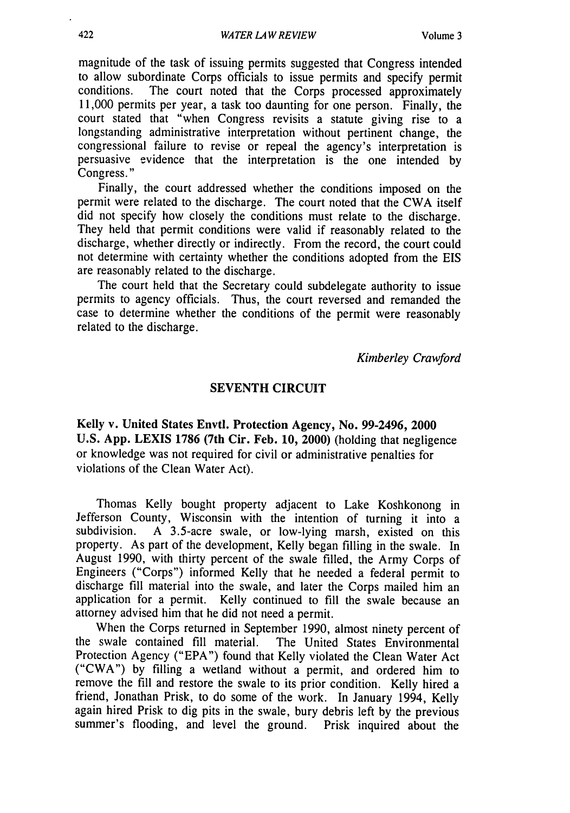magnitude of the task of issuing permits suggested that Congress intended to allow subordinate Corps officials to issue permits and specify permit The court noted that the Corps processed approximately 11,000 permits per year, a task too daunting for one person. Finally, the court stated that "when Congress revisits a statute giving rise to a longstanding administrative interpretation without pertinent change, the congressional failure to revise or repeal the agency's interpretation is persuasive evidence that the interpretation is the one intended by Congress."

Finally, the court addressed whether the conditions imposed on the permit were related to the discharge. The court noted that the CWA itself did not specify how closely the conditions must relate to the discharge. They held that permit conditions were valid if reasonably related to the discharge, whether directly or indirectly. From the record, the court could not determine with certainty whether the conditions adopted from the EIS are reasonably related to the discharge.

The court held that the Secretary could subdelegate authority to issue permits to agency officials. Thus, the court reversed and remanded the case to determine whether the conditions of the permit were reasonably related to the discharge.

*Kimberley Crawford*

## **SEVENTH CIRCUIT**

Kelly v. United States Envtl. Protection Agency, No. **99-2496,** 2000 **U.S. App.** LEXIS **1786** (7th Cir. Feb. **10,** 2000) (holding that negligence or knowledge was not required for civil or administrative penalties for violations of the Clean Water Act).

Thomas Kelly bought property adjacent to Lake Koshkonong in Jefferson County, Wisconsin with the intention of turning it into a subdivision. A 3.5-acre swale, or low-lying marsh, existed on this property. As part of the development, Kelly began filling in the swale. In August 1990, with thirty percent of the swale filled, the Army Corps of Engineers ("Corps") informed Kelly that he needed a federal permit to discharge fill material into the swale, and later the Corps mailed him an application for a permit. Kelly continued to fill the swale because an attorney advised him that he did not need a permit.

When the Corps returned in September 1990, almost ninety percent of the swale contained fill material. The United States Environmental Protection Agency ("EPA") found that Kelly violated the Clean Water Act ("CWA") by filling a wetland without a permit, and ordered him to remove the fill and restore the swale to its prior condition. Kelly hired a friend, Jonathan Prisk, to do some of the work. In January 1994, Kelly again hired Prisk to dig pits in the swale, bury debris left by the previous summer's flooding, and level the ground. Prisk inquired about the